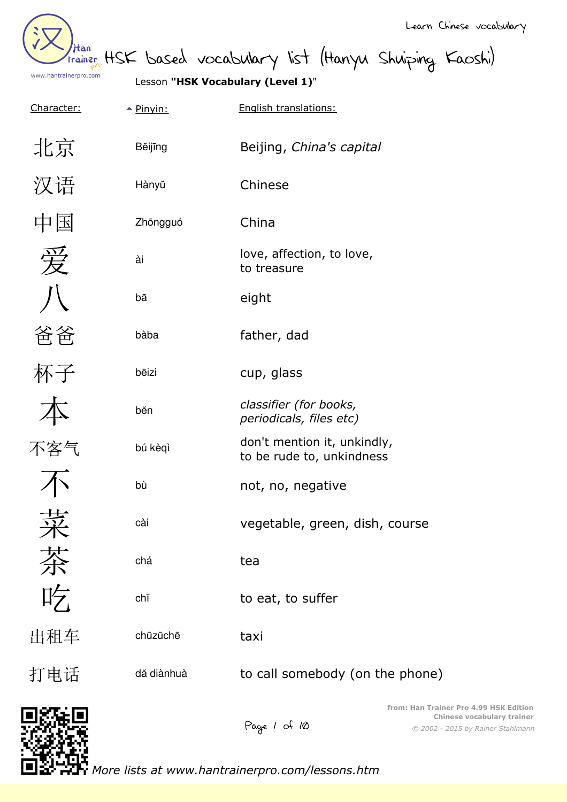

trainer HSK based vocabulary list (Hanyu Shuiping Kaoshi)

Lesson **"HSK Vocabulary (Level 1)**"

Bĕijīng Beijing, *China's capital*

Character:  $\rightarrow$  Pinyin: English translations:

| 北京 |
|----|
| 汉语 |
| 中国 |
| 労  |
|    |

爸爸

杯子

本

不客气

不

菜

茶

吃

出租车

打电话

| Hànyŭ      | Chinese                                                  |
|------------|----------------------------------------------------------|
| Zhōngguó   | China                                                    |
| ài         | love, affection, to love,<br>to treasure                 |
| bā         | eight                                                    |
| bàba       | father, dad                                              |
| bēizi      | cup, glass                                               |
| běn        | classifier (for books,<br>periodicals, files etc)        |
| bú kèqì    | don't mention it, unkindly,<br>to be rude to, unkindness |
| bù         | not, no, negative                                        |
| cài        | vegetable, green, dish, course                           |
| chá        | tea                                                      |
| chī        | to eat, to suffer                                        |
| chūzūchē   | taxi                                                     |
| dă diànhuà | to call somebody (on the phone)                          |
|            | from: Han Trail                                          |

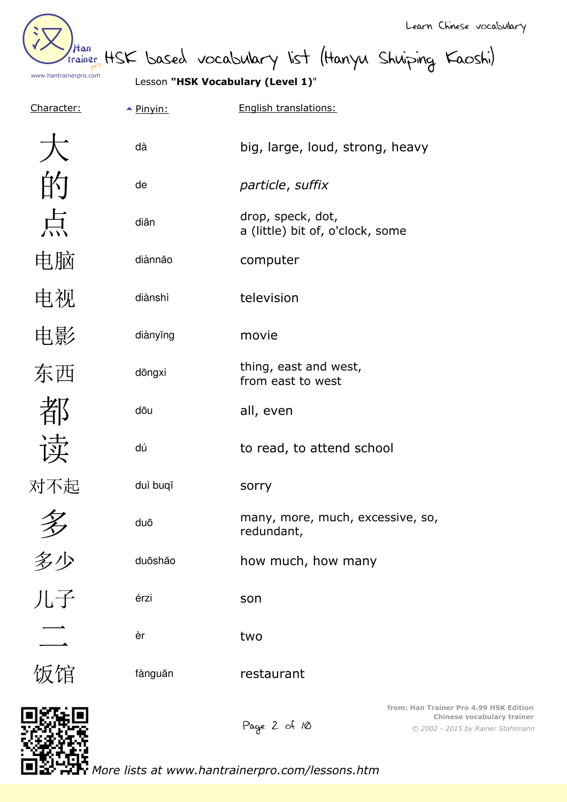

than HSK based vocabulary list (Hanyu Shuiping Kaoshi)

Lesson **"HSK Vocabulary (Level 1)**"

| Character:               | $\triangle$ Pinyin: | English translations:                                                                                                     |
|--------------------------|---------------------|---------------------------------------------------------------------------------------------------------------------------|
|                          | dà                  | big, large, loud, strong, heavy                                                                                           |
|                          | de                  | particle, suffix                                                                                                          |
| 点                        | diăn                | drop, speck, dot,<br>a (little) bit of, o'clock, some                                                                     |
| 电脑                       | diànnăo             | computer                                                                                                                  |
| 电视                       | diànshì             | television                                                                                                                |
| 电影                       | diànyĭng            | movie                                                                                                                     |
| 东西                       | dōngxi              | thing, east and west,<br>from east to west                                                                                |
|                          | dōu                 | all, even                                                                                                                 |
| 读                        | dú                  | to read, to attend school                                                                                                 |
| 对不起                      | duì buqĭ            | sorry                                                                                                                     |
| 夕                        | duō                 | many, more, much, excessive, so,<br>redundant,                                                                            |
| 多少                       | duōshăo             | how much, how many                                                                                                        |
| 儿子                       | érzi                | son                                                                                                                       |
| $\overline{\phantom{a}}$ | èr                  | two                                                                                                                       |
| 饭馆                       | fànguăn             | restaurant                                                                                                                |
|                          |                     | from: Han Trainer Pro 4.99 HSK Edition<br>Chinese vocabulary trainer<br>Page 2 of 10<br>© 2002 - 2015 by Rainer Stahlmann |

*More lists at www.hantrainerpro.com/lessons.htm*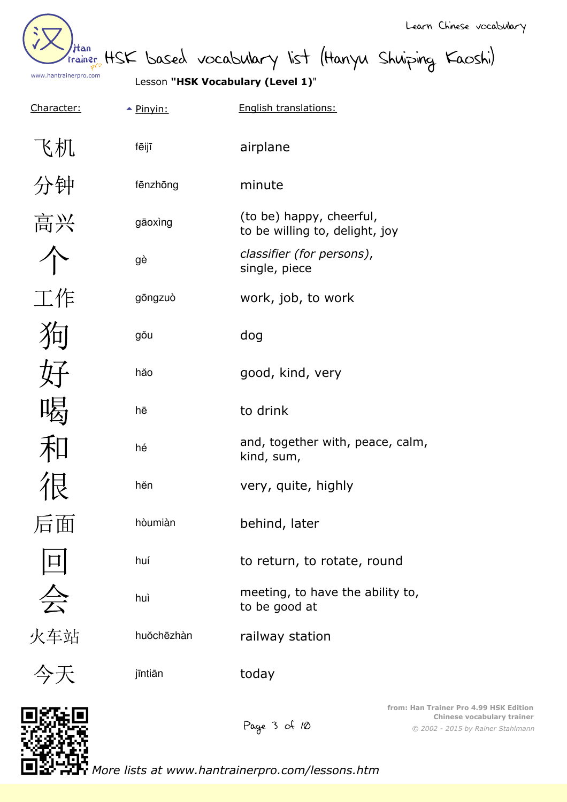Han www.hantrainerpro.com

Than HSK based vocabulary list (Hanyu Shuiping Kaoshi)

Character:

Lesson **"HSK Vocabulary (Level 1)**"

| K机             |
|----------------|
| 分钟             |
| 高兴             |
| 个              |
| 工作             |
| 狗              |
| 好              |
| 喝              |
| 和              |
| 很              |
| 后面             |
| $\boxed{\Box}$ |
| 会              |
| 火车站            |

| $\triangle$ Pinyin: | English translations:                                      |
|---------------------|------------------------------------------------------------|
| fēijī               | airplane                                                   |
| fēnzhōng            | minute                                                     |
| gāoxing             | (to be) happy, cheerful,<br>to be willing to, delight, joy |
| gè                  | classifier (for persons),<br>single, piece                 |
| gōngzuò             | work, job, to work                                         |
| gŏu                 | dog                                                        |
| hăo                 | good, kind, very                                           |
| hē                  | to drink                                                   |
|                     |                                                            |
| hé                  | and, together with, peace, calm,<br>kind, sum,             |
| hĕn                 | very, quite, highly                                        |
| hòumiàn             | behind, later                                              |
| huí                 | to return, to rotate, round                                |
| huì                 | meeting, to have the ability to,<br>to be good at          |
| huŏchēzhàn          | railway station                                            |



今ナ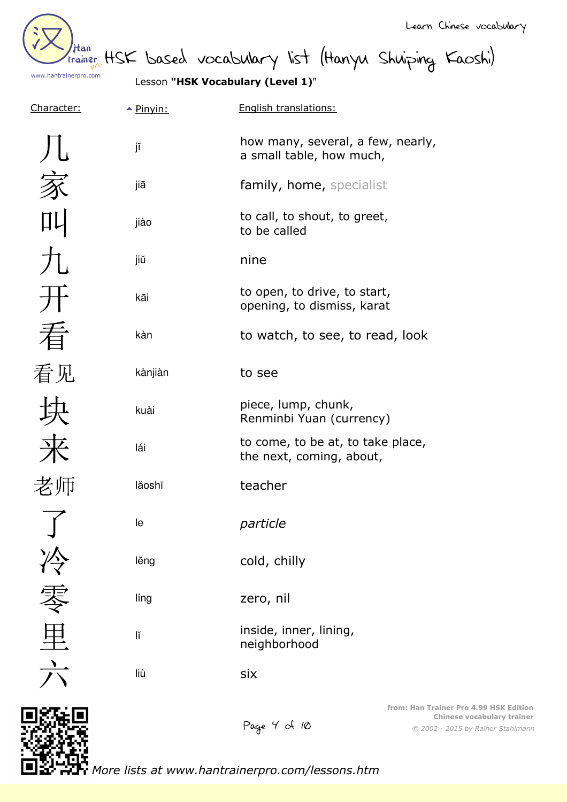Han www.hantrainerpro.com

Learn Chinese vocabulary

Htan<br>trainer HSK based vocabulary list (Hanyu Shuiping Kaoshi)

Lesson **"HSK Vocabulary (Level 1)**"

| Character:     | $\triangle$ Pinyin: | English translations:                                         |  |
|----------------|---------------------|---------------------------------------------------------------|--|
|                | jĭ                  | how many, several, a few, nearly,<br>a small table, how much, |  |
|                | jiā                 | family, home, specialist                                      |  |
|                | jiào                | to call, to shout, to greet,<br>to be called                  |  |
| 九              | jiŭ                 | nine                                                          |  |
|                | kāi                 | to open, to drive, to start,<br>opening, to dismiss, karat    |  |
| 看              | kàn                 | to watch, to see, to read, look                               |  |
| 看见             | kànjiàn             | to see                                                        |  |
|                | kuài                | piece, lump, chunk,<br>Renminbi Yuan (currency)               |  |
| 来              | lái                 | to come, to be at, to take place,<br>the next, coming, about, |  |
| 老师             | lăoshī              | teacher                                                       |  |
| $\overline{f}$ | le                  | particle                                                      |  |
|                | lěng                | cold, chilly                                                  |  |
|                | líng                | zero, nil                                                     |  |
| 里              | lĭ                  | inside, inner, lining,<br>neighborhood                        |  |
|                | liù                 | six                                                           |  |
|                |                     |                                                               |  |

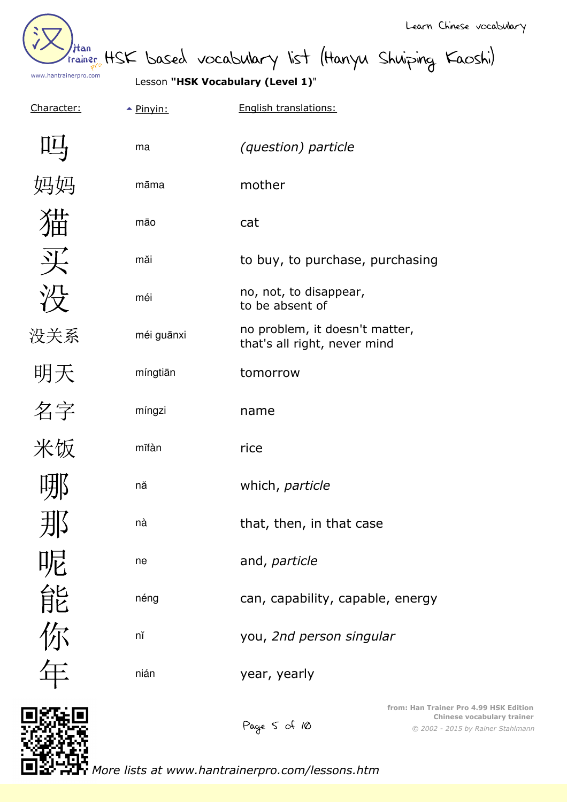Han www.hantrainerpro.com

Than HSK based vocabulary list (Hanyu Shuiping Kaoshi)

Lesson **"HSK Vocabulary (Level 1)**"

| Character: | $\triangle$ Pinyin: | English translations:                                          |
|------------|---------------------|----------------------------------------------------------------|
|            | ma                  | <i>(question) particle</i>                                     |
| 马妈         | māma                | mother                                                         |
|            | māo                 | cat                                                            |
| 买          | măi                 | to buy, to purchase, purchasing                                |
| 没          | méi                 | no, not, to disappear,<br>to be absent of                      |
| 没关系        | méi guānxi          | no problem, it doesn't matter,<br>that's all right, never mind |
| 明天         | míngtiān            | tomorrow                                                       |
| 名字         | míngzi              | name                                                           |
| 米饭         | mĭfàn               | rice                                                           |
|            | nă                  | which, particle                                                |
| 小          | nà                  | that, then, in that case                                       |
|            | ne                  | and, particle                                                  |
| 能          | néng                | can, capability, capable, energy                               |
| 你在         | nĭ                  | you, 2nd person singular                                       |
|            | nián                | year, yearly                                                   |
|            |                     |                                                                |



Page 5 of 10

*© 2002 - 2015 by Rainer Stahlmann* **from: Han Trainer Pro 4.99 HSK Edition Chinese vocabulary trainer**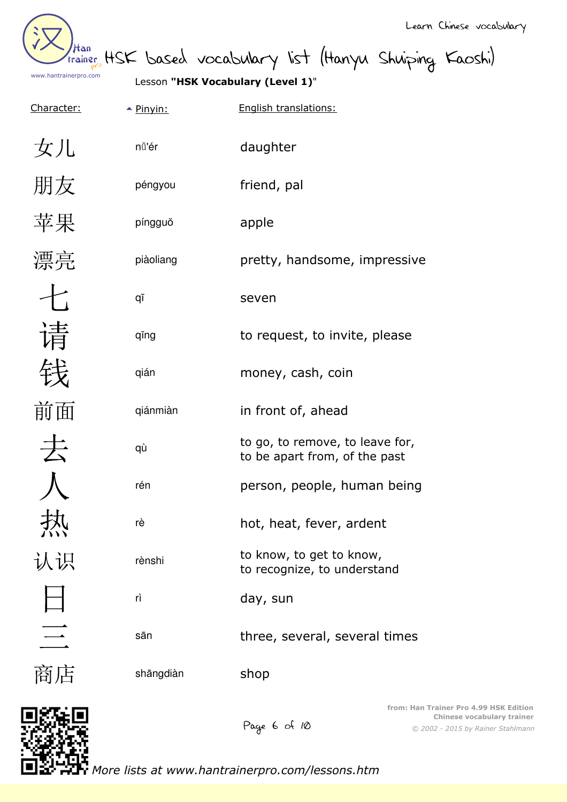Han www.hantrainerpro.com

than HSK based vocabulary list (Hanyu Shuiping Kaoshi)

Lesson **"HSK Vocabulary (Level 1)**"

| Character:               | $\triangle$ Pinyin: | English translations:                                            |
|--------------------------|---------------------|------------------------------------------------------------------|
| 女儿                       | nǚ'ér               | daughter                                                         |
| 朋友                       | péngyou             | friend, pal                                                      |
| 苹果                       | píngguŏ             | apple                                                            |
| 漂亮                       | piàoliang           | pretty, handsome, impressive                                     |
| $\overline{\mathcal{L}}$ | qī                  | seven                                                            |
| 请                        | qĭng                | to request, to invite, please                                    |
|                          | qián                | money, cash, coin                                                |
| 前面                       | qiánmiàn            | in front of, ahead                                               |
| 去                        | qù                  | to go, to remove, to leave for,<br>to be apart from, of the past |
|                          | rén                 | person, people, human being                                      |
| バハバ                      | rè                  | hot, heat, fever, ardent                                         |
| 认识                       | rènshi              | to know, to get to know,<br>to recognize, to understand          |
|                          | rì                  | day, sun                                                         |
| $\equiv$                 | sān                 | three, several, several times                                    |
| 商店                       | shāngdiàn           | shop                                                             |
|                          |                     |                                                                  |

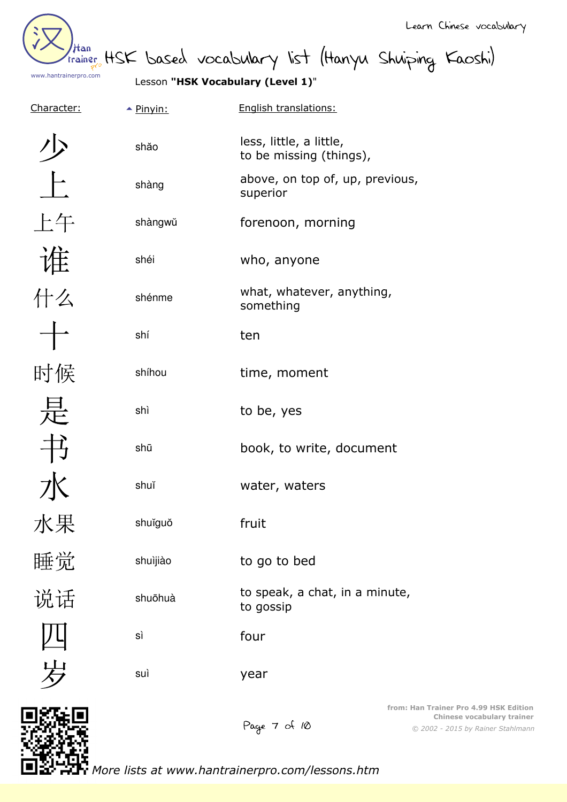Han www.hantrainerpro.com

Learn Chinese vocabulary

than HSK based vocabulary list (Hanyu Shuiping Kaoshi)

Lesson **"HSK Vocabulary (Level 1)**"

| Character:              | $\triangle$ Pinyin: | English translations:                              |
|-------------------------|---------------------|----------------------------------------------------|
|                         | shăo                | less, little, a little,<br>to be missing (things), |
| $\frac{1}{\sqrt{2\pi}}$ | shàng               | above, on top of, up, previous,<br>superior        |
| 上午                      | shàngwŭ             | forenoon, morning                                  |
| 谁什么                     | shéi                | who, anyone                                        |
|                         | shénme              | what, whatever, anything,<br>something             |
|                         | shí                 | ten                                                |
| 时候                      | shíhou              | time, moment                                       |
| 是                       | shì                 | to be, yes                                         |
| 书                       | shū                 | book, to write, document                           |
| 水                       | shuĭ                | water, waters                                      |
| 水果                      | shuĭguŏ             | fruit                                              |
| 睡觉                      | shuìjiào            | to go to bed                                       |
| 说话                      | shuōhuà             | to speak, a chat, in a minute,<br>to gossip        |
|                         | sì                  | four                                               |
|                         | suì                 | year                                               |



*© 2002 - 2015 by Rainer Stahlmann* **from: Han Trainer Pro 4.99 HSK Edition Chinese vocabulary trainer**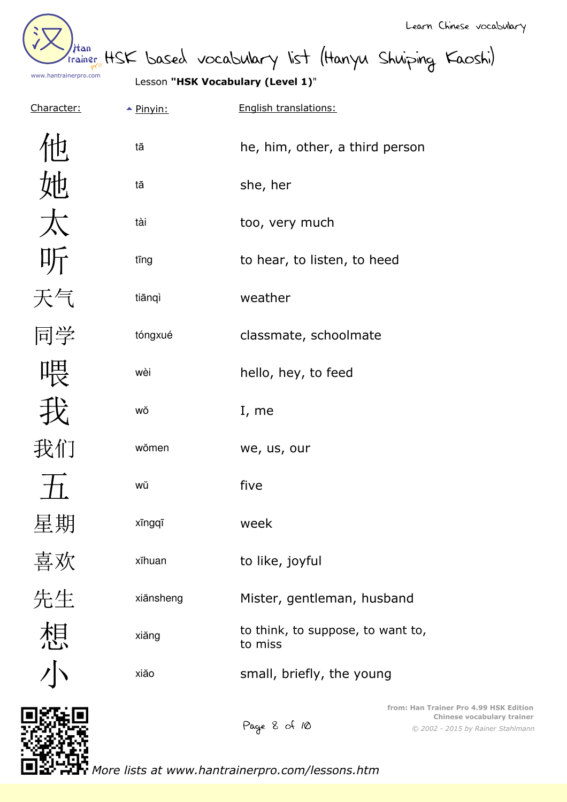

than HSK based vocabulary list (Hanyu Shuiping Kaoshi)

Lesson **"HSK Vocabulary (Level 1)**"

| Character: | $\triangle$ Pinyin: | English translations:                        |
|------------|---------------------|----------------------------------------------|
|            | tā                  | he, him, other, a third person               |
| 她          | tā                  | she, her                                     |
| 太          | tài                 | too, very much                               |
| 听          | tīng                | to hear, to listen, to heed                  |
| 天气         | tiānqì              | weather                                      |
| 同学         | tóngxué             | classmate, schoolmate                        |
| 喂          | wèi                 | hello, hey, to feed                          |
|            | WŎ                  | I, me                                        |
| 我们         | wŏmen               | we, us, our                                  |
|            | wŭ                  | five                                         |
| 星期         | xīngqī              | week                                         |
| 喜欢<br>先生   | xĭhuan              | to like, joyful                              |
|            | xiānsheng           | Mister, gentleman, husband                   |
| 想          | xiăng               | to think, to suppose, to want to,<br>to miss |
|            | xiăo                | small, briefly, the young                    |
| 1975 M     |                     | from: Han Trainer Pro                        |



*© 2002 - 2015 by Rainer Stahlmann* **f** 4.99 HSK Edition **Chinese vocabulary trainer**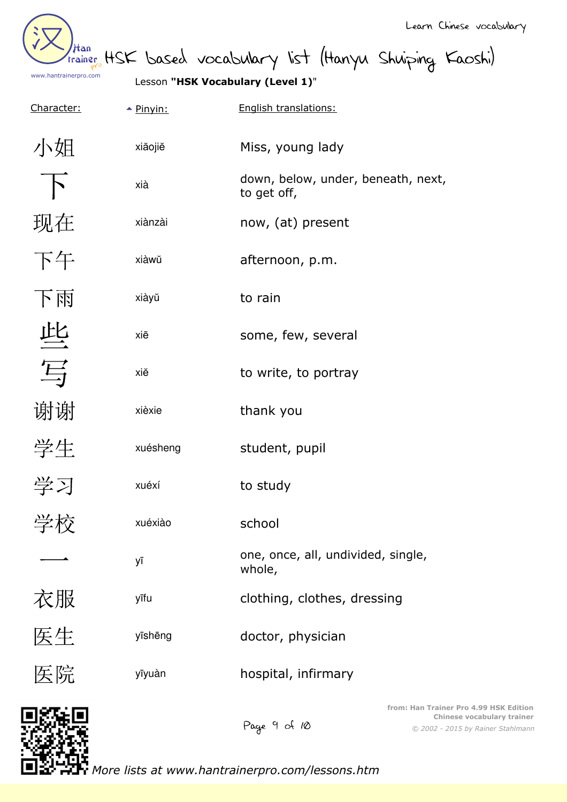Han www.hantrainerpro.com

trainer HSK based vocabulary list (Hanyu Shuiping Kaoshi)

Lesson **"HSK Vocabulary (Level 1)**"

| Character:     | $\triangle$ Pinyin: | English translations:                             |
|----------------|---------------------|---------------------------------------------------|
| 小姐             | xiăojiĕ             | Miss, young lady                                  |
| $\overline{B}$ | xià                 | down, below, under, beneath, next,<br>to get off, |
| 现在             | xiànzài             | now, (at) present                                 |
| 下午             | xiàwŭ               | afternoon, p.m.                                   |
| 下雨             | xiàyŭ               | to rain                                           |
| 些              | xiē                 | some, few, several                                |
| 写              | xiĕ                 | to write, to portray                              |
| 谢谢             | xièxie              | thank you                                         |
| 学生             | xuésheng            | student, pupil                                    |
| 学习             | xuéxí               | to study                                          |
| 学校             | xuéxiào             | school                                            |
|                | уī                  | one, once, all, undivided, single,<br>whole,      |
| 衣服             | yīfu                | clothing, clothes, dressing                       |
| 医生             | yīshēng             | doctor, physician                                 |
| 医院             | yīyuàn              | hospital, infirmary                               |
| הם נזימה       |                     | from: Han Trainer Pro                             |